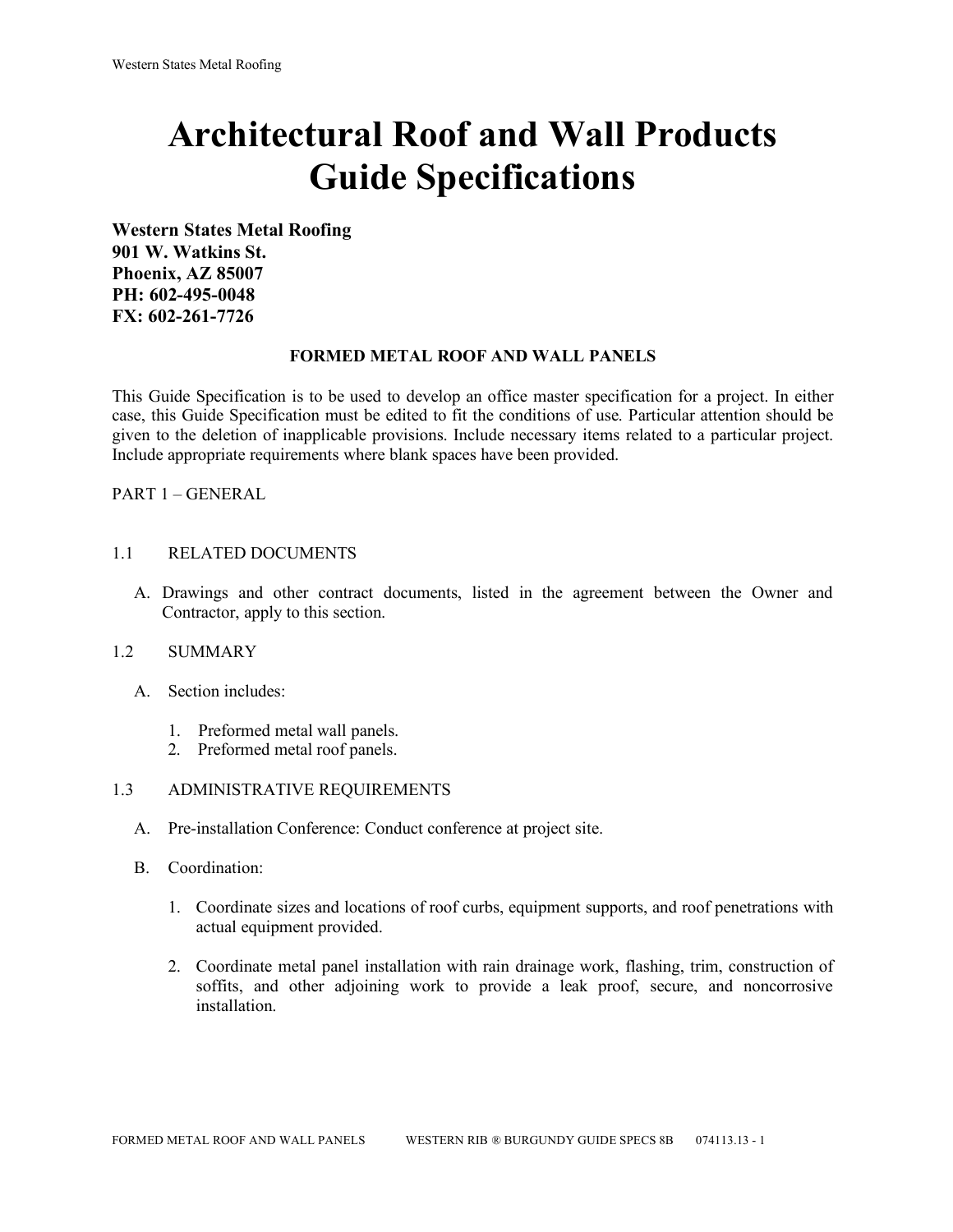# **Architectural Roof and Wall Products Guide Specifications**

**Western States Metal Roofing 901 W. Watkins St. Phoenix, AZ 85007 PH: 602-495-0048 FX: 602-261-7726**

### **FORMED METAL ROOF AND WALL PANELS**

This Guide Specification is to be used to develop an office master specification for a project. In either case, this Guide Specification must be edited to fit the conditions of use. Particular attention should be given to the deletion of inapplicable provisions. Include necessary items related to a particular project. Include appropriate requirements where blank spaces have been provided.

PART 1 – GENERAL

### 1.1 RELATED DOCUMENTS

A. Drawings and other contract documents, listed in the agreement between the Owner and Contractor, apply to this section.

#### 1.2 SUMMARY

- A. Section includes:
	- 1. Preformed metal wall panels.
	- 2. Preformed metal roof panels.

#### 1.3 ADMINISTRATIVE REQUIREMENTS

- A. Pre-installation Conference: Conduct conference at project site.
- B. Coordination:
	- 1. Coordinate sizes and locations of roof curbs, equipment supports, and roof penetrations with actual equipment provided.
	- 2. Coordinate metal panel installation with rain drainage work, flashing, trim, construction of soffits, and other adjoining work to provide a leak proof, secure, and noncorrosive installation.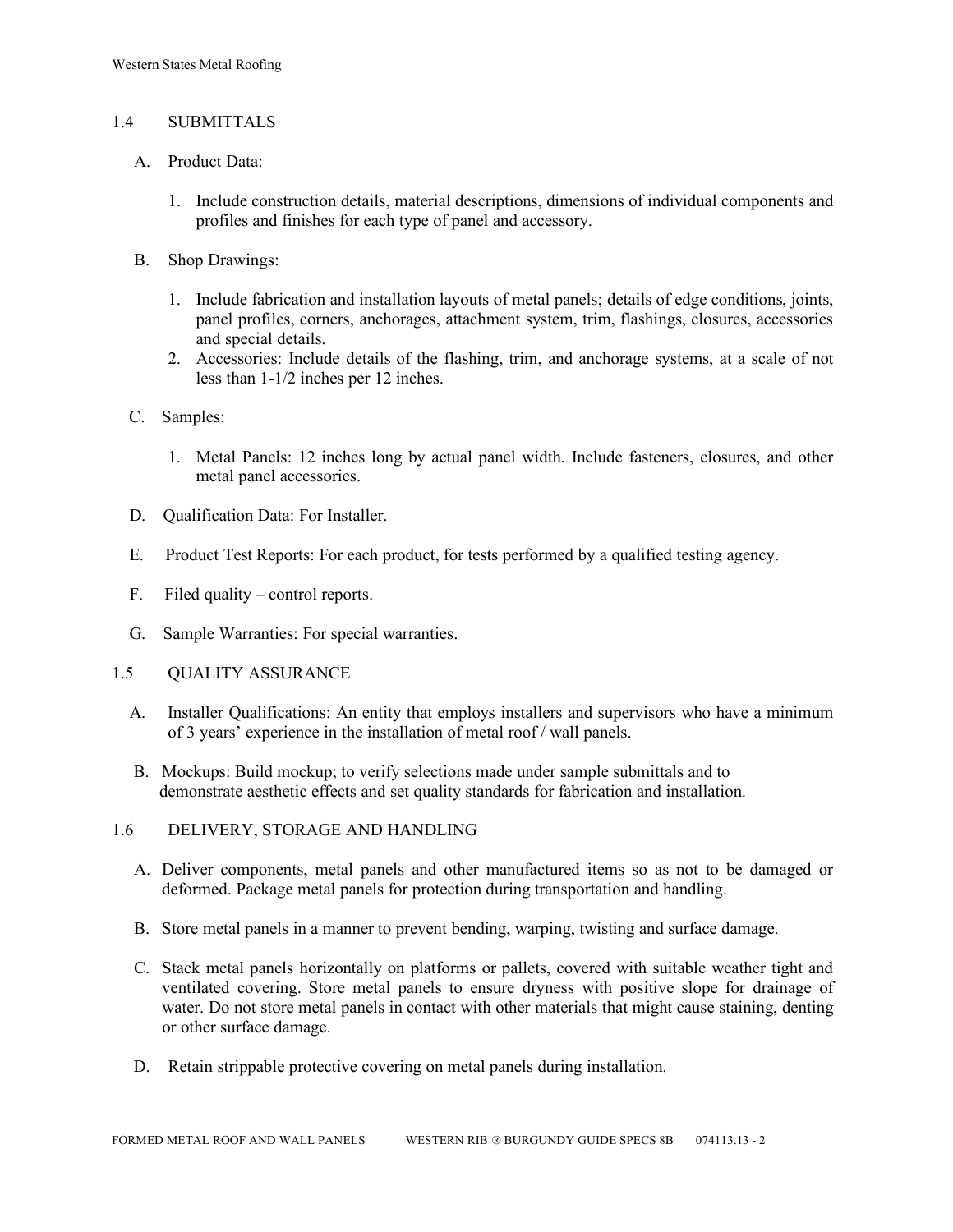## 1.4 SUBMITTALS

- A. Product Data:
	- 1. Include construction details, material descriptions, dimensions of individual components and profiles and finishes for each type of panel and accessory.
- B. Shop Drawings:
	- 1. Include fabrication and installation layouts of metal panels; details of edge conditions, joints, panel profiles, corners, anchorages, attachment system, trim, flashings, closures, accessories and special details.
	- 2. Accessories: Include details of the flashing, trim, and anchorage systems, at a scale of not less than 1-1/2 inches per 12 inches.
- C. Samples:
	- 1. Metal Panels: 12 inches long by actual panel width. Include fasteners, closures, and other metal panel accessories.
- D. Qualification Data: For Installer.
- E. Product Test Reports: For each product, for tests performed by a qualified testing agency.
- F. Filed quality control reports.
- G. Sample Warranties: For special warranties.
- 1.5 QUALITY ASSURANCE
	- A. Installer Qualifications: An entity that employs installers and supervisors who have a minimum of 3 years' experience in the installation of metal roof / wall panels.
	- B. Mockups: Build mockup; to verify selections made under sample submittals and to demonstrate aesthetic effects and set quality standards for fabrication and installation.
- 1.6 DELIVERY, STORAGE AND HANDLING
	- A. Deliver components, metal panels and other manufactured items so as not to be damaged or deformed. Package metal panels for protection during transportation and handling.
	- B. Store metal panels in a manner to prevent bending, warping, twisting and surface damage.
	- C. Stack metal panels horizontally on platforms or pallets, covered with suitable weather tight and ventilated covering. Store metal panels to ensure dryness with positive slope for drainage of water. Do not store metal panels in contact with other materials that might cause staining, denting or other surface damage.
	- D. Retain strippable protective covering on metal panels during installation.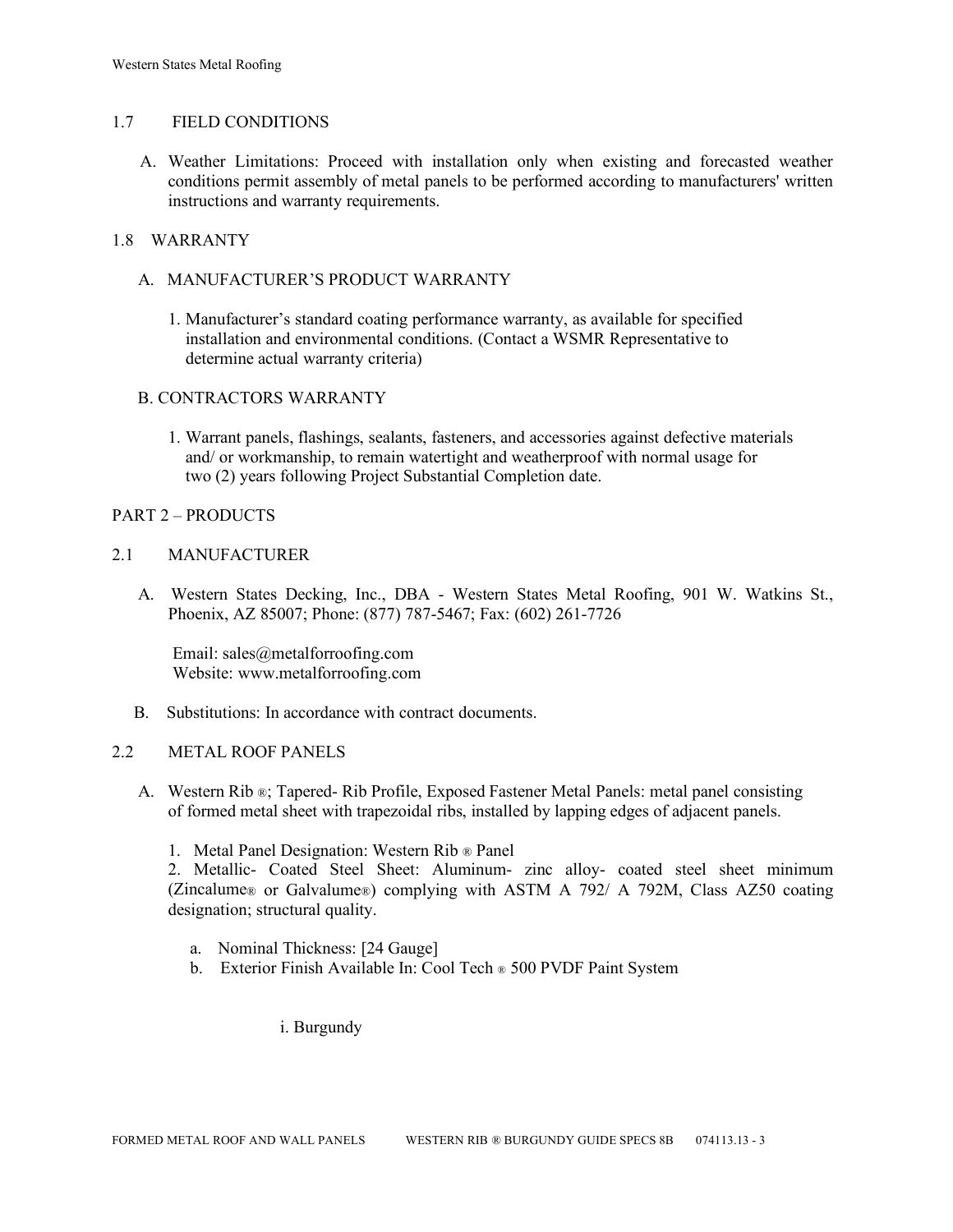## 1.7 FIELD CONDITIONS

A. Weather Limitations: Proceed with installation only when existing and forecasted weather conditions permit assembly of metal panels to be performed according to manufacturers' written instructions and warranty requirements.

## 1.8 WARRANTY

- A. MANUFACTURER'S PRODUCT WARRANTY
	- 1. Manufacturer's standard coating performance warranty, as available for specified installation and environmental conditions. (Contact a WSMR Representative to determine actual warranty criteria)

## B. CONTRACTORS WARRANTY

1. Warrant panels, flashings, sealants, fasteners, and accessories against defective materials and/ or workmanship, to remain watertight and weatherproof with normal usage for two (2) years following Project Substantial Completion date.

### PART 2 – PRODUCTS

### 2.1 MANUFACTURER

 A. Western States Decking, Inc., DBA - Western States Metal Roofing, 901 W. Watkins St., Phoenix, AZ 85007; Phone: (877) 787-5467; Fax: (602) 261-7726

Email: sales@metalforroofing.com Website: www.metalforroofing.com

B. Substitutions: In accordance with contract documents.

#### 2.2 METAL ROOF PANELS

- A. Western Rib ®; Tapered- Rib Profile, Exposed Fastener Metal Panels: metal panel consisting of formed metal sheet with trapezoidal ribs, installed by lapping edges of adjacent panels.
	- 1. Metal Panel Designation: Western Rib ® Panel

2. Metallic- Coated Steel Sheet: Aluminum- zinc alloy- coated steel sheet minimum (Zincalume® or Galvalume®) complying with ASTM A 792/ A 792M, Class AZ50 coating designation; structural quality.

- a. Nominal Thickness: [24 Gauge]
- b. Exterior Finish Available In: Cool Tech ® 500 PVDF Paint System

i. Burgundy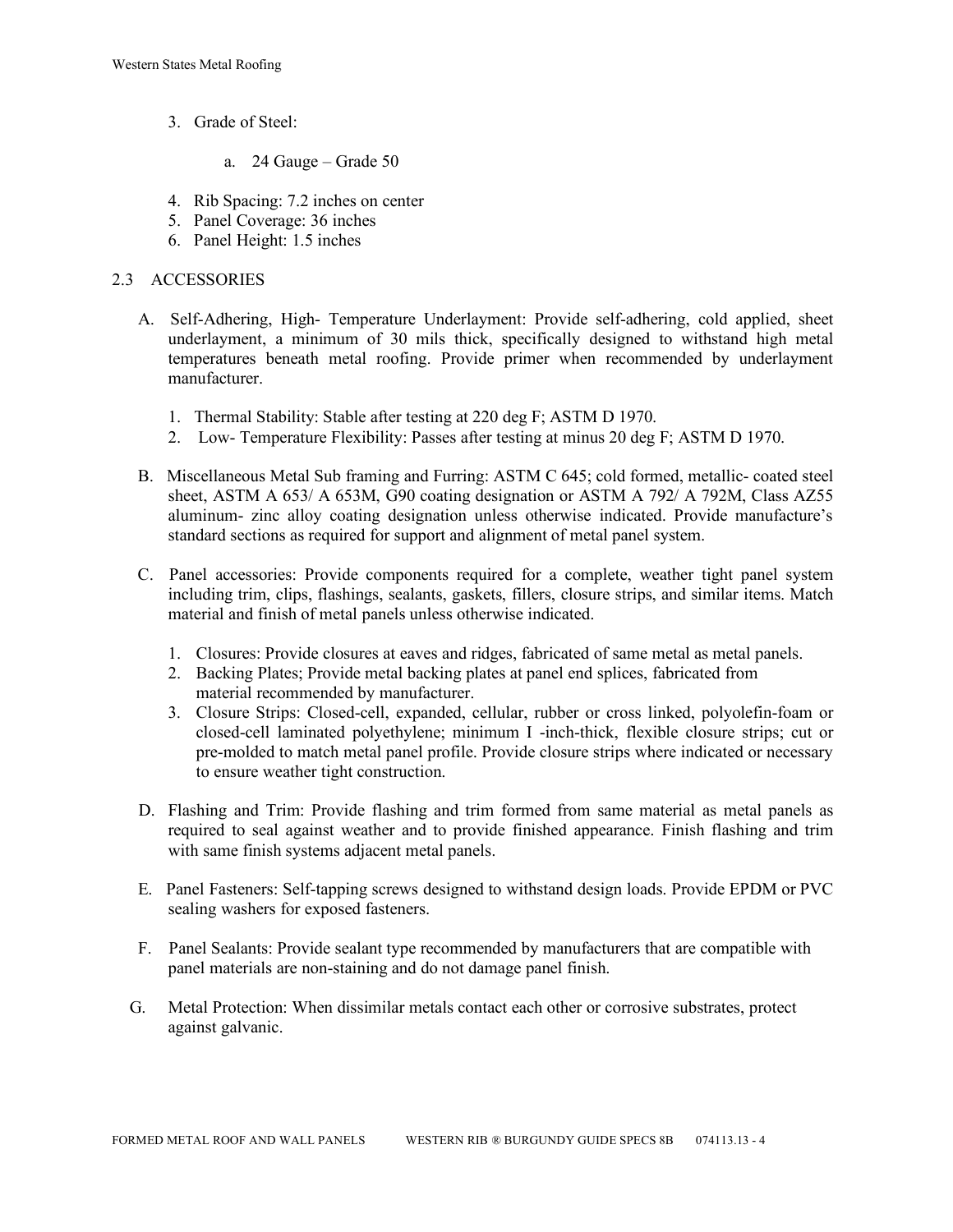- 3. Grade of Steel:
	- a. 24 Gauge Grade 50
- 4. Rib Spacing: 7.2 inches on center
- 5. Panel Coverage: 36 inches
- 6. Panel Height: 1.5 inches

## 2.3 ACCESSORIES

- A. Self-Adhering, High- Temperature Underlayment: Provide self-adhering, cold applied, sheet underlayment, a minimum of 30 mils thick, specifically designed to withstand high metal temperatures beneath metal roofing. Provide primer when recommended by underlayment manufacturer.
	- 1. Thermal Stability: Stable after testing at 220 deg F; ASTM D 1970.
	- 2. Low- Temperature Flexibility: Passes after testing at minus 20 deg F; ASTM D 1970.
- B. Miscellaneous Metal Sub framing and Furring: ASTM C 645; cold formed, metallic- coated steel sheet, ASTM A 653/ A 653M, G90 coating designation or ASTM A 792/ A 792M, Class AZ55 aluminum- zinc alloy coating designation unless otherwise indicated. Provide manufacture's standard sections as required for support and alignment of metal panel system.
- C. Panel accessories: Provide components required for a complete, weather tight panel system including trim, clips, flashings, sealants, gaskets, fillers, closure strips, and similar items. Match material and finish of metal panels unless otherwise indicated.
	- 1. Closures: Provide closures at eaves and ridges, fabricated of same metal as metal panels.
	- 2. Backing Plates; Provide metal backing plates at panel end splices, fabricated from material recommended by manufacturer.
	- 3. Closure Strips: Closed-cell, expanded, cellular, rubber or cross linked, polyolefin-foam or closed-cell laminated polyethylene; minimum I -inch-thick, flexible closure strips; cut or pre-molded to match metal panel profile. Provide closure strips where indicated or necessary to ensure weather tight construction.
- D. Flashing and Trim: Provide flashing and trim formed from same material as metal panels as required to seal against weather and to provide finished appearance. Finish flashing and trim with same finish systems adjacent metal panels.
- E. Panel Fasteners: Self-tapping screws designed to withstand design loads. Provide EPDM or PVC sealing washers for exposed fasteners.
- F. Panel Sealants: Provide sealant type recommended by manufacturers that are compatible with panel materials are non-staining and do not damage panel finish.
- G. Metal Protection: When dissimilar metals contact each other or corrosive substrates, protect against galvanic.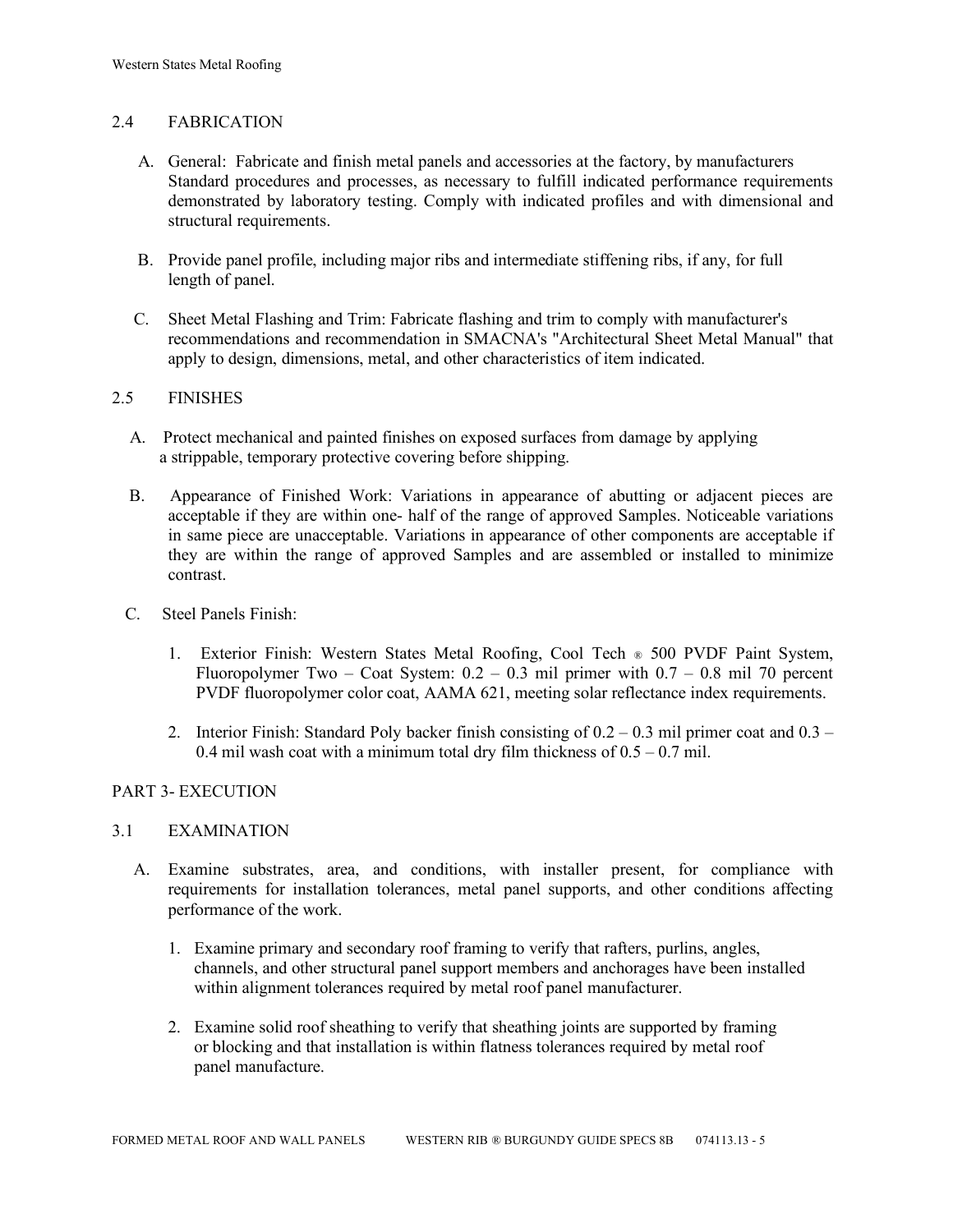## 2.4 FABRICATION

- A. General: Fabricate and finish metal panels and accessories at the factory, by manufacturers Standard procedures and processes, as necessary to fulfill indicated performance requirements demonstrated by laboratory testing. Comply with indicated profiles and with dimensional and structural requirements.
- B. Provide panel profile, including major ribs and intermediate stiffening ribs, if any, for full length of panel.
- C. Sheet Metal Flashing and Trim: Fabricate flashing and trim to comply with manufacturer's recommendations and recommendation in SMACNA's "Architectural Sheet Metal Manual" that apply to design, dimensions, metal, and other characteristics of item indicated.

### 2.5 FINISHES

- A. Protect mechanical and painted finishes on exposed surfaces from damage by applying a strippable, temporary protective covering before shipping.
- B. Appearance of Finished Work: Variations in appearance of abutting or adjacent pieces are acceptable if they are within one- half of the range of approved Samples. Noticeable variations in same piece are unacceptable. Variations in appearance of other components are acceptable if they are within the range of approved Samples and are assembled or installed to minimize contrast.
- C. Steel Panels Finish:
	- 1. Exterior Finish: Western States Metal Roofing, Cool Tech ® 500 PVDF Paint System, Fluoropolymer Two – Coat System:  $0.2 - 0.3$  mil primer with  $0.7 - 0.8$  mil 70 percent PVDF fluoropolymer color coat, AAMA 621, meeting solar reflectance index requirements.
	- 2. Interior Finish: Standard Poly backer finish consisting of  $0.2 0.3$  mil primer coat and  $0.3 -$ 0.4 mil wash coat with a minimum total dry film thickness of  $0.5 - 0.7$  mil.

## PART 3- EXECUTION

#### 3.1 EXAMINATION

- A. Examine substrates, area, and conditions, with installer present, for compliance with requirements for installation tolerances, metal panel supports, and other conditions affecting performance of the work.
	- 1. Examine primary and secondary roof framing to verify that rafters, purlins, angles, channels, and other structural panel support members and anchorages have been installed within alignment tolerances required by metal roof panel manufacturer.
	- 2. Examine solid roof sheathing to verify that sheathing joints are supported by framing or blocking and that installation is within flatness tolerances required by metal roof panel manufacture.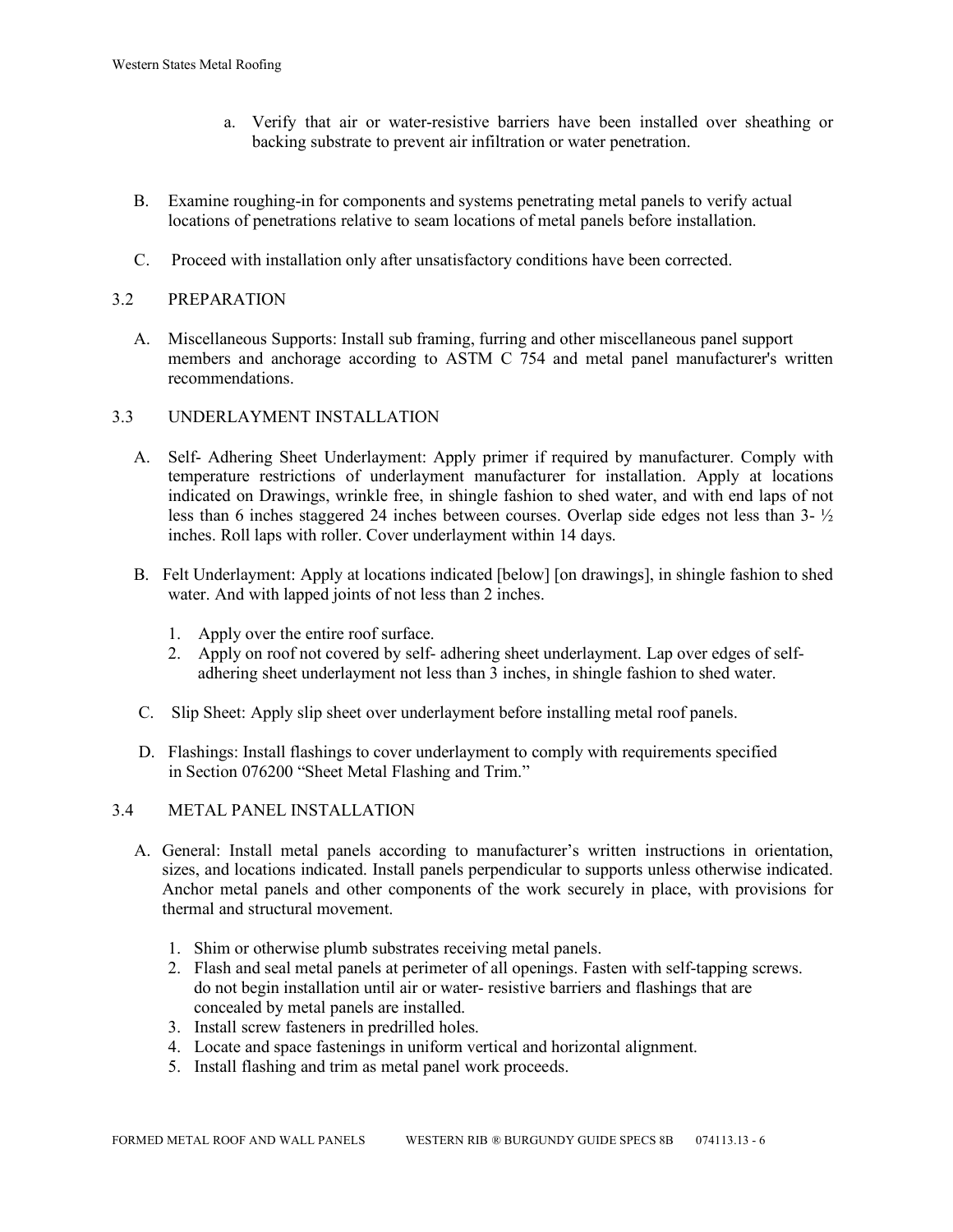- a. Verify that air or water-resistive barriers have been installed over sheathing or backing substrate to prevent air infiltration or water penetration.
- B. Examine roughing-in for components and systems penetrating metal panels to verify actual locations of penetrations relative to seam locations of metal panels before installation.
- C. Proceed with installation only after unsatisfactory conditions have been corrected.

## 3.2 PREPARATION

 A. Miscellaneous Supports: Install sub framing, furring and other miscellaneous panel support members and anchorage according to ASTM C 754 and metal panel manufacturer's written recommendations.

### 3.3 UNDERLAYMENT INSTALLATION

- A. Self- Adhering Sheet Underlayment: Apply primer if required by manufacturer. Comply with temperature restrictions of underlayment manufacturer for installation. Apply at locations indicated on Drawings, wrinkle free, in shingle fashion to shed water, and with end laps of not less than 6 inches staggered 24 inches between courses. Overlap side edges not less than 3- ½ inches. Roll laps with roller. Cover underlayment within 14 days.
- B. Felt Underlayment: Apply at locations indicated [below] [on drawings], in shingle fashion to shed water. And with lapped joints of not less than 2 inches.
	- 1. Apply over the entire roof surface.
	- 2. Apply on roof not covered by self- adhering sheet underlayment. Lap over edges of self adhering sheet underlayment not less than 3 inches, in shingle fashion to shed water.
- C. Slip Sheet: Apply slip sheet over underlayment before installing metal roof panels.
- D. Flashings: Install flashings to cover underlayment to comply with requirements specified in Section 076200 "Sheet Metal Flashing and Trim."

#### 3.4 METAL PANEL INSTALLATION

- A. General: Install metal panels according to manufacturer's written instructions in orientation, sizes, and locations indicated. Install panels perpendicular to supports unless otherwise indicated. Anchor metal panels and other components of the work securely in place, with provisions for thermal and structural movement.
	- 1. Shim or otherwise plumb substrates receiving metal panels.
	- 2. Flash and seal metal panels at perimeter of all openings. Fasten with self-tapping screws. do not begin installation until air or water- resistive barriers and flashings that are concealed by metal panels are installed.
	- 3. Install screw fasteners in predrilled holes.
	- 4. Locate and space fastenings in uniform vertical and horizontal alignment.
	- 5. Install flashing and trim as metal panel work proceeds.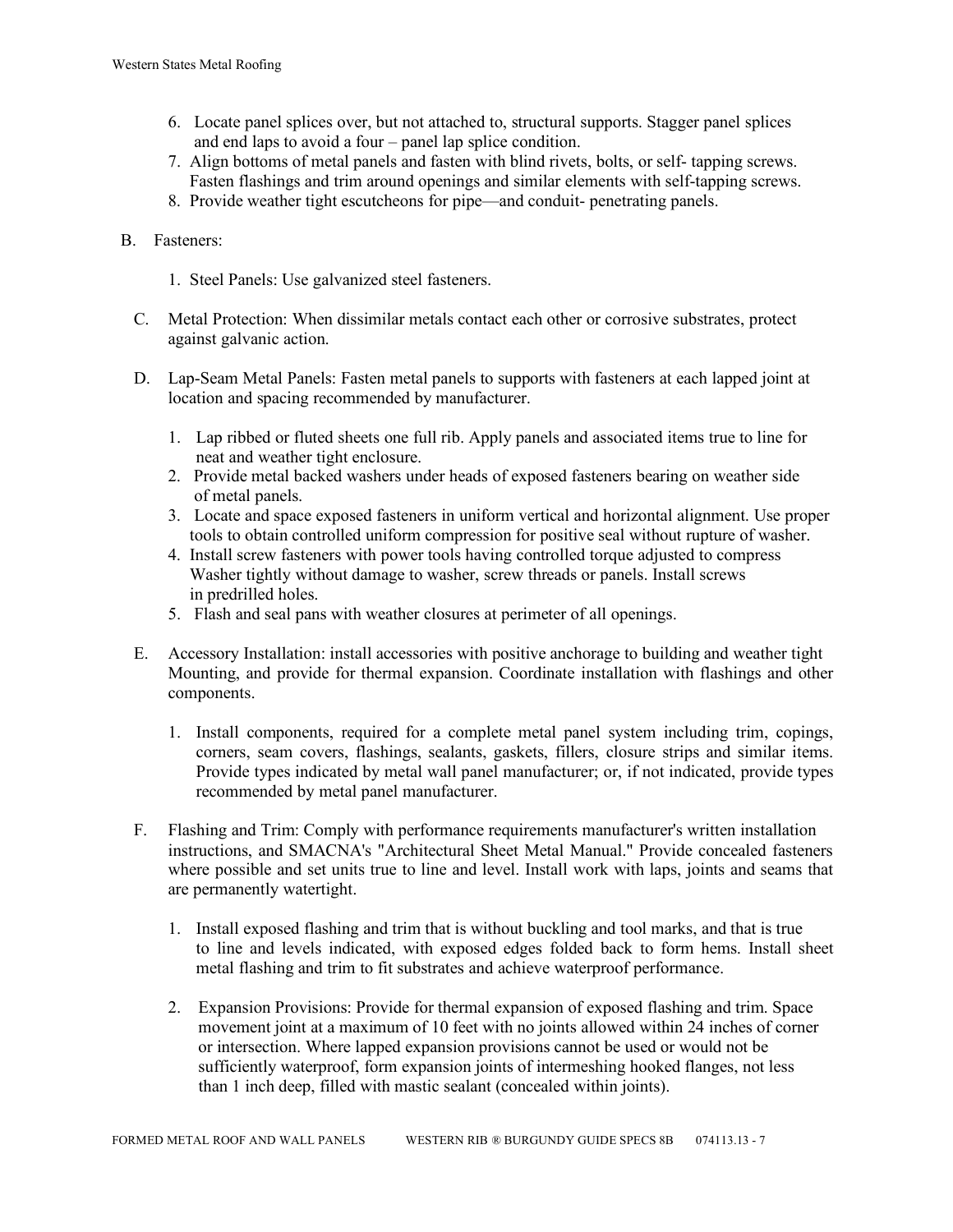- 6. Locate panel splices over, but not attached to, structural supports. Stagger panel splices and end laps to avoid a four – panel lap splice condition.
- 7. Align bottoms of metal panels and fasten with blind rivets, bolts, or self- tapping screws. Fasten flashings and trim around openings and similar elements with self-tapping screws.
- 8. Provide weather tight escutcheons for pipe—and conduit- penetrating panels.

## B. Fasteners:

- 1. Steel Panels: Use galvanized steel fasteners.
- C. Metal Protection: When dissimilar metals contact each other or corrosive substrates, protect against galvanic action.
- D. Lap-Seam Metal Panels: Fasten metal panels to supports with fasteners at each lapped joint at location and spacing recommended by manufacturer.
	- 1. Lap ribbed or fluted sheets one full rib. Apply panels and associated items true to line for neat and weather tight enclosure.
	- 2. Provide metal backed washers under heads of exposed fasteners bearing on weather side of metal panels.
	- 3. Locate and space exposed fasteners in uniform vertical and horizontal alignment. Use proper tools to obtain controlled uniform compression for positive seal without rupture of washer.
	- 4. Install screw fasteners with power tools having controlled torque adjusted to compress Washer tightly without damage to washer, screw threads or panels. Install screws in predrilled holes.
	- 5. Flash and seal pans with weather closures at perimeter of all openings.
- E. Accessory Installation: install accessories with positive anchorage to building and weather tight Mounting, and provide for thermal expansion. Coordinate installation with flashings and other components.
	- 1. Install components, required for a complete metal panel system including trim, copings, corners, seam covers, flashings, sealants, gaskets, fillers, closure strips and similar items. Provide types indicated by metal wall panel manufacturer; or, if not indicated, provide types recommended by metal panel manufacturer.
- F. Flashing and Trim: Comply with performance requirements manufacturer's written installation instructions, and SMACNA's "Architectural Sheet Metal Manual." Provide concealed fasteners where possible and set units true to line and level. Install work with laps, joints and seams that are permanently watertight.
	- 1. Install exposed flashing and trim that is without buckling and tool marks, and that is true to line and levels indicated, with exposed edges folded back to form hems. Install sheet metal flashing and trim to fit substrates and achieve waterproof performance.
	- 2. Expansion Provisions: Provide for thermal expansion of exposed flashing and trim. Space movement joint at a maximum of 10 feet with no joints allowed within 24 inches of corner or intersection. Where lapped expansion provisions cannot be used or would not be sufficiently waterproof, form expansion joints of intermeshing hooked flanges, not less than 1 inch deep, filled with mastic sealant (concealed within joints).